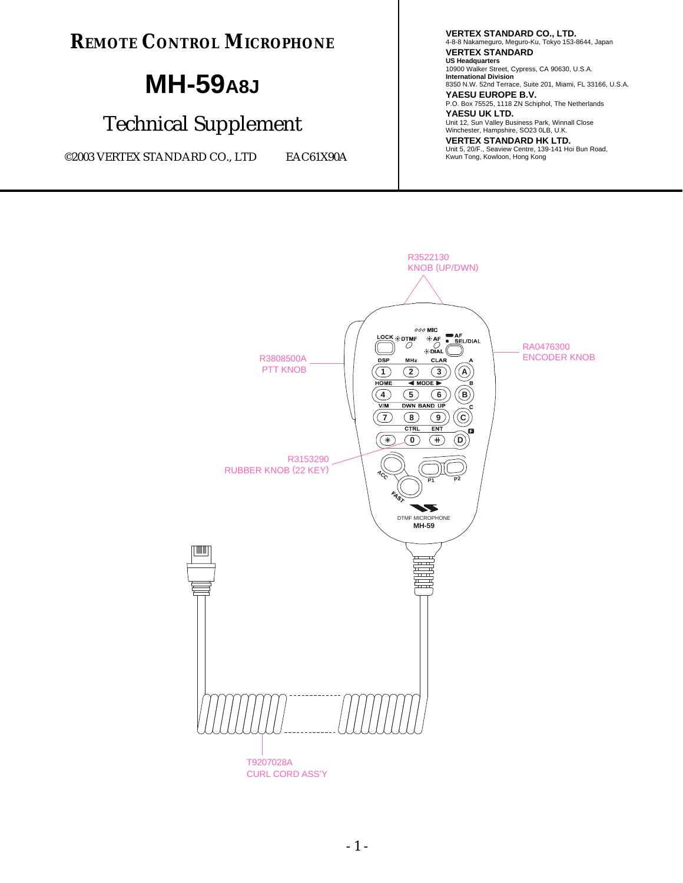**REMOTE CONTROL MICROPHONE**

# **MH-59A8J**

## Technical Supplement

©2003 VERTEX STANDARD CO., LTD EAC61X90A

**VERTEX STANDARD CO., LTD.** 4-8-8 Nakameguro, Meguro-Ku, Tokyo 153-8644, Japan **VERTEX STANDARD US Headquarters** 10900 Walker Street, Cypress, CA 90630, U.S.A. **International Division** 8350 N.W. 52nd Terrace, Suite 201, Miami, FL 33166, U.S.A. **YAESU EUROPE B.V.** P.O. Box 75525, 1118 ZN Schiphol, The Netherlands **YAESU UK LTD.** Unit 12, Sun Valley Business Park, Winnall Close Winchester, Hampshire, SO23 0LB, U.K. **VERTEX STANDARD HK LTD.** Unit 5, 20/F., Seaview Centre, 139-141 Hoi Bun Road, Kwun Tong, Kowloon, Hong Kong

R3522130 KNOB (UP/DWN)  $000$  MIC AF<br>SEL/DIAL R3808500A  $\begin{pmatrix} \begin{matrix} \begin{matrix} \text{LOCK}\ \text{\{\#}D\end{matrix} & \text{H} & \text{A} & \text{SE} & \text{SE} & \text{NE} \\ \begin{matrix} \text{CD} & \text{CD} & \text{EDAL} \\ \text{DSP} & \text{MHZ} & \text{CLAR} & \text{A} \end{matrix} & \text{ENCODER} & \text{KNOB} \end{pmatrix} \end{pmatrix}$  $\overbrace{\bigcap_{\mathcal{O}}\mathcal{O}}^{\mathsf{LOCK}}$   $\overbrace{\mathcal{O}}^{\mathsf{RDTMF}}$ RA0476300 PTT KNOB **2 3 A 1 HOME**  $\overline{\triangleleft}$  MODE  $\left( 4\right)$ **5 6 B DWN** VD U  $\mathcal{F}(\mathcal{F})$ **9 C 8**  $CTRI$ **FNT**  $(\mathcal{F})$ **0**  $(\dagger)$ **D** R3153290 RUBBER KNOB (22 KEY)**ACC P2 P1** $\overline{\phantom{a}}$ DTMF MICROPHONE **MH-59**  $\overline{1}$ 뇨 T9207028A

CURL CORD ASS'Y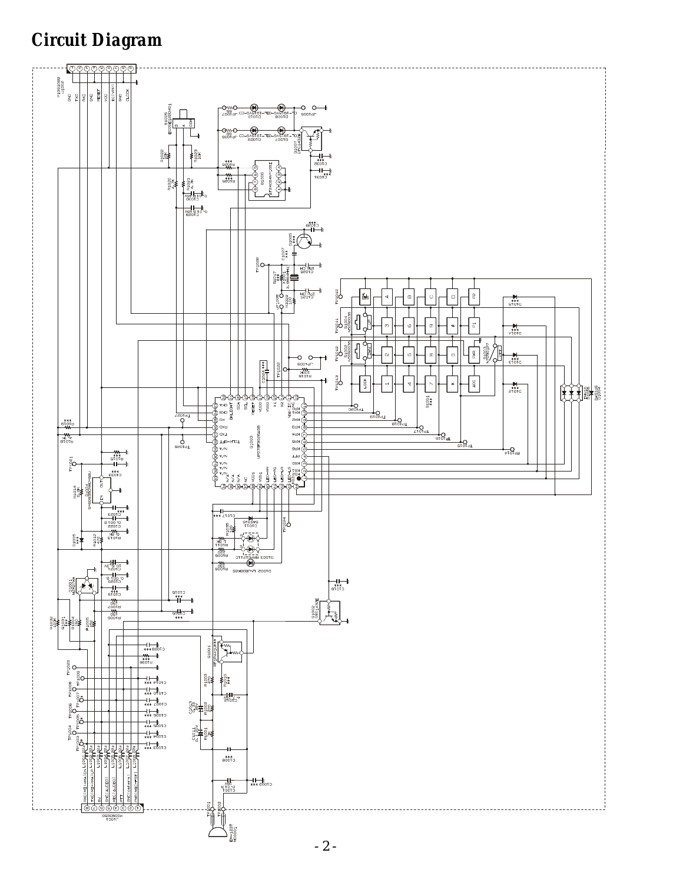#### *Circuit Diagram*



- 2 -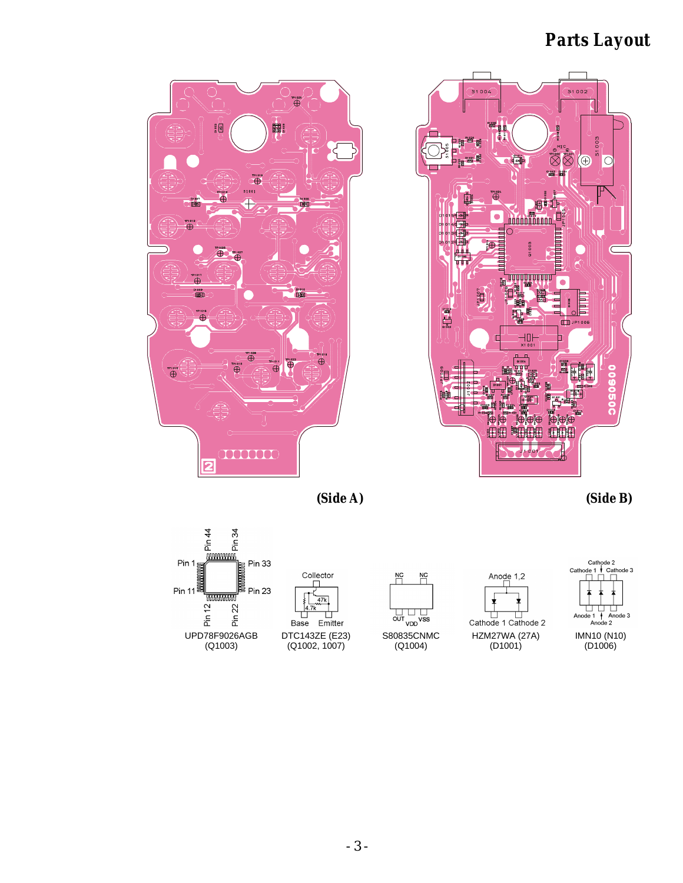#### *Parts Layout*



 $\bigoplus_{n=1}^{n+0.20}$ 國  $rac{3}{5}$  $\bigoplus$  $\overline{\oplus}$ ™<br>⊕  $\ddot{\oplus}$ Ï₿ )1009<br>[BH]  $\oplus$  $\bigoplus$  $\oplus$  $\overline{\oplus}$  $\overset{1}{\oplus}$ 1000000 っ

*(Side A) (Side B)*



- 3 -